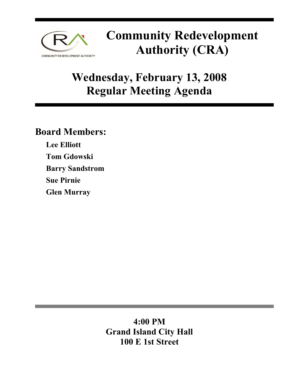

## **Community Redevelopment Authority (CRA)**

## **Wednesday, February 13, 2008 Regular Meeting Agenda**

### **Board Members:**

**Lee Elliott Tom Gdowski Barry Sandstrom Sue Pirnie Glen Murray** 

> **4:00 PM Grand Island City Hall 100 E 1st Street**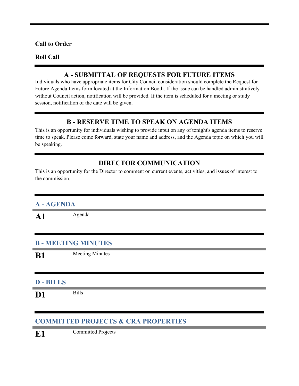#### **Call to Order**

#### **Roll Call**

#### **A - SUBMITTAL OF REQUESTS FOR FUTURE ITEMS**

Individuals who have appropriate items for City Council consideration should complete the Request for Future Agenda Items form located at the Information Booth. If the issue can be handled administratively without Council action, notification will be provided. If the item is scheduled for a meeting or study session, notification of the date will be given.

#### **B - RESERVE TIME TO SPEAK ON AGENDA ITEMS**

This is an opportunity for individuals wishing to provide input on any of tonight's agenda items to reserve time to speak. Please come forward, state your name and address, and the Agenda topic on which you will be speaking.

#### **DIRECTOR COMMUNICATION**

This is an opportunity for the Director to comment on current events, activities, and issues of interest to the commission.

| A-AGENDA                 |                        |  |
|--------------------------|------------------------|--|
| $\mathbf{A1}$            | Agenda                 |  |
|                          |                        |  |
| <b>B-MEETING MINUTES</b> |                        |  |
| <b>B1</b>                | <b>Meeting Minutes</b> |  |
|                          |                        |  |
| <b>D-BILLS</b>           |                        |  |
| D <sub>1</sub>           | <b>Bills</b>           |  |
|                          |                        |  |

#### **COMMITTED PROJECTS & CRA PROPERTIES**

**E1** Committed Projects